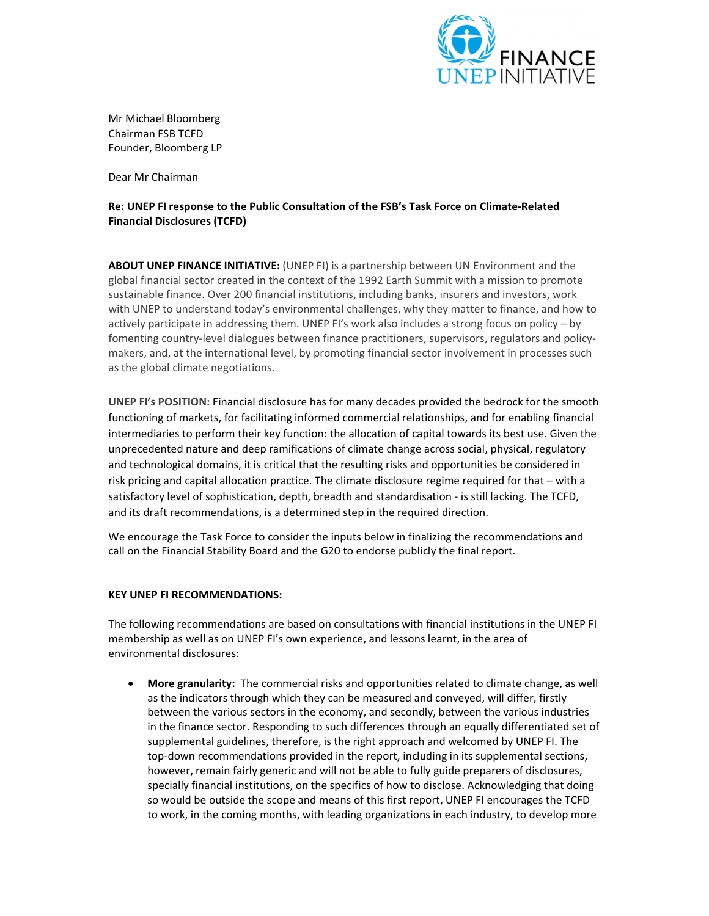

Mr Michael Bloomberg Chairman FSB TCFD Founder, Bloomberg LP

Dear Mr Chairman

## Re: UNEP FI response to the Public Consultation of the FSB's Task Force on Climate-Related Financial Disclosures (TCFD)

ABOUT UNEP FINANCE INITIATIVE: (UNEP FI) is a partnership between UN Environment and the global financial sector created in the context of the 1992 Earth Summit with a mission to promote sustainable finance. Over 200 financial institutions, including banks, insurers and investors, work with UNEP to understand today's environmental challenges, why they matter to finance, and how to actively participate in addressing them. UNEP FI's work also includes a strong focus on policy – by fomenting country-level dialogues between finance practitioners, supervisors, regulators and policymakers, and, at the international level, by promoting financial sector involvement in processes such as the global climate negotiations.

UNEP FI's POSITION: Financial disclosure has for many decades provided the bedrock for the smooth functioning of markets, for facilitating informed commercial relationships, and for enabling financial intermediaries to perform their key function: the allocation of capital towards its best use. Given the unprecedented nature and deep ramifications of climate change across social, physical, regulatory and technological domains, it is critical that the resulting risks and opportunities be considered in risk pricing and capital allocation practice. The climate disclosure regime required for that – with a satisfactory level of sophistication, depth, breadth and standardisation - is still lacking. The TCFD, and its draft recommendations, is a determined step in the required direction.

We encourage the Task Force to consider the inputs below in finalizing the recommendations and call on the Financial Stability Board and the G20 to endorse publicly the final report.

## KEY UNEP FI RECOMMENDATIONS:

The following recommendations are based on consultations with financial institutions in the UNEP FI membership as well as on UNEP FI's own experience, and lessons learnt, in the area of environmental disclosures:

• More granularity: The commercial risks and opportunities related to climate change, as well as the indicators through which they can be measured and conveyed, will differ, firstly between the various sectors in the economy, and secondly, between the various industries in the finance sector. Responding to such differences through an equally differentiated set of supplemental guidelines, therefore, is the right approach and welcomed by UNEP FI. The top-down recommendations provided in the report, including in its supplemental sections, however, remain fairly generic and will not be able to fully guide preparers of disclosures, specially financial institutions, on the specifics of how to disclose. Acknowledging that doing so would be outside the scope and means of this first report, UNEP FI encourages the TCFD to work, in the coming months, with leading organizations in each industry, to develop more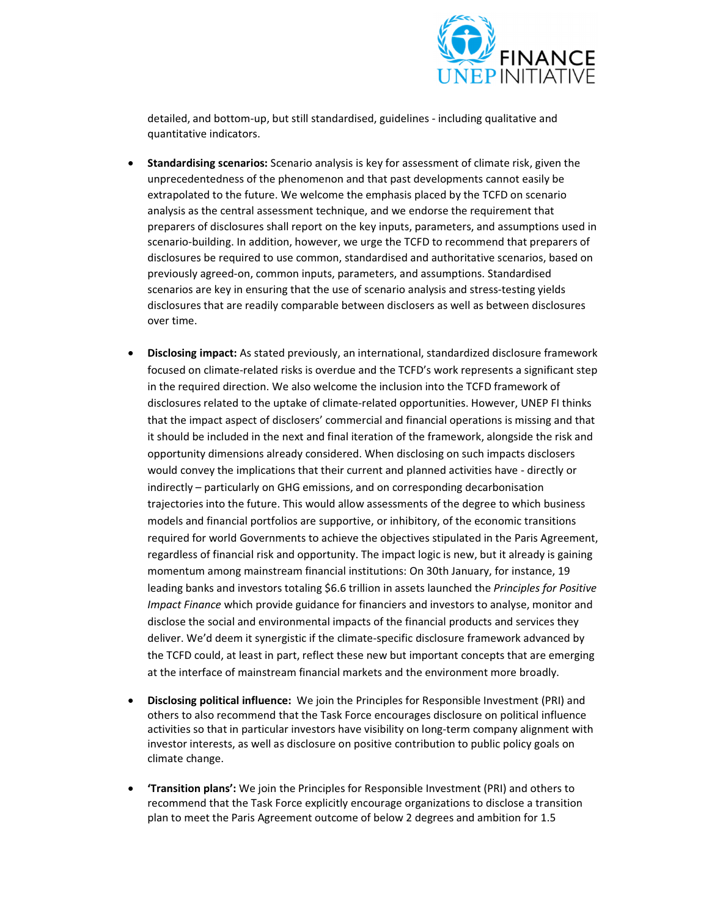

detailed, and bottom-up, but still standardised, guidelines - including qualitative and quantitative indicators.

- Standardising scenarios: Scenario analysis is key for assessment of climate risk, given the unprecedentedness of the phenomenon and that past developments cannot easily be extrapolated to the future. We welcome the emphasis placed by the TCFD on scenario analysis as the central assessment technique, and we endorse the requirement that preparers of disclosures shall report on the key inputs, parameters, and assumptions used in scenario-building. In addition, however, we urge the TCFD to recommend that preparers of disclosures be required to use common, standardised and authoritative scenarios, based on previously agreed-on, common inputs, parameters, and assumptions. Standardised scenarios are key in ensuring that the use of scenario analysis and stress-testing yields disclosures that are readily comparable between disclosers as well as between disclosures over time.
- Disclosing impact: As stated previously, an international, standardized disclosure framework focused on climate-related risks is overdue and the TCFD's work represents a significant step in the required direction. We also welcome the inclusion into the TCFD framework of disclosures related to the uptake of climate-related opportunities. However, UNEP FI thinks that the impact aspect of disclosers' commercial and financial operations is missing and that it should be included in the next and final iteration of the framework, alongside the risk and opportunity dimensions already considered. When disclosing on such impacts disclosers would convey the implications that their current and planned activities have - directly or indirectly – particularly on GHG emissions, and on corresponding decarbonisation trajectories into the future. This would allow assessments of the degree to which business models and financial portfolios are supportive, or inhibitory, of the economic transitions required for world Governments to achieve the objectives stipulated in the Paris Agreement, regardless of financial risk and opportunity. The impact logic is new, but it already is gaining momentum among mainstream financial institutions: On 30th January, for instance, 19 leading banks and investors totaling \$6.6 trillion in assets launched the Principles for Positive Impact Finance which provide guidance for financiers and investors to analyse, monitor and disclose the social and environmental impacts of the financial products and services they deliver. We'd deem it synergistic if the climate-specific disclosure framework advanced by the TCFD could, at least in part, reflect these new but important concepts that are emerging at the interface of mainstream financial markets and the environment more broadly.
- Disclosing political influence: We join the Principles for Responsible Investment (PRI) and others to also recommend that the Task Force encourages disclosure on political influence activities so that in particular investors have visibility on long-term company alignment with investor interests, as well as disclosure on positive contribution to public policy goals on climate change.
- 'Transition plans': We join the Principles for Responsible Investment (PRI) and others to recommend that the Task Force explicitly encourage organizations to disclose a transition plan to meet the Paris Agreement outcome of below 2 degrees and ambition for 1.5